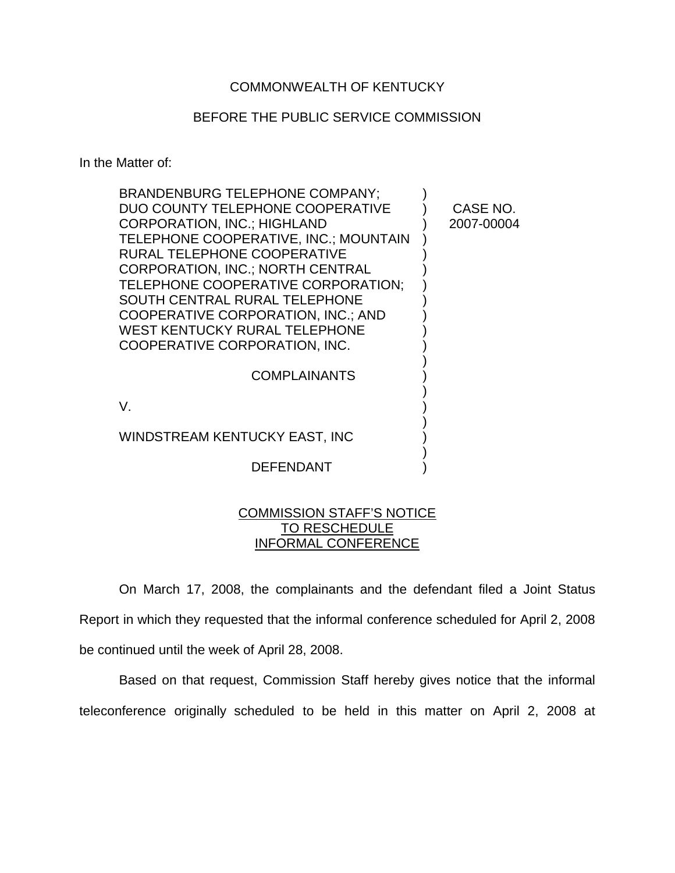## COMMONWEALTH OF KENTUCKY

## BEFORE THE PUBLIC SERVICE COMMISSION

In the Matter of:

| <b>BRANDENBURG TELEPHONE COMPANY;</b>                                      |            |
|----------------------------------------------------------------------------|------------|
| DUO COUNTY TELEPHONE COOPERATIVE                                           | CASE NO.   |
| <b>CORPORATION, INC.; HIGHLAND</b>                                         | 2007-00004 |
| TELEPHONE COOPERATIVE, INC.; MOUNTAIN                                      |            |
| RURAL TELEPHONE COOPERATIVE                                                |            |
| <b>CORPORATION, INC.: NORTH CENTRAL</b>                                    |            |
| TELEPHONE COOPERATIVE CORPORATION:                                         |            |
| SOUTH CENTRAL RURAL TELEPHONE                                              |            |
| COOPERATIVE CORPORATION, INC.; AND<br><b>WEST KENTUCKY RURAL TELEPHONE</b> |            |
| COOPERATIVE CORPORATION, INC.                                              |            |
|                                                                            |            |
| <b>COMPLAINANTS</b>                                                        |            |
|                                                                            |            |
| V.                                                                         |            |
|                                                                            |            |
| WINDSTREAM KENTUCKY EAST, INC                                              |            |
|                                                                            |            |
| DEFENDANT                                                                  |            |

## COMMISSION STAFF'S NOTICE TO RESCHEDULE INFORMAL CONFERENCE

On March 17, 2008, the complainants and the defendant filed a Joint Status Report in which they requested that the informal conference scheduled for April 2, 2008 be continued until the week of April 28, 2008.

Based on that request, Commission Staff hereby gives notice that the informal teleconference originally scheduled to be held in this matter on April 2, 2008 at